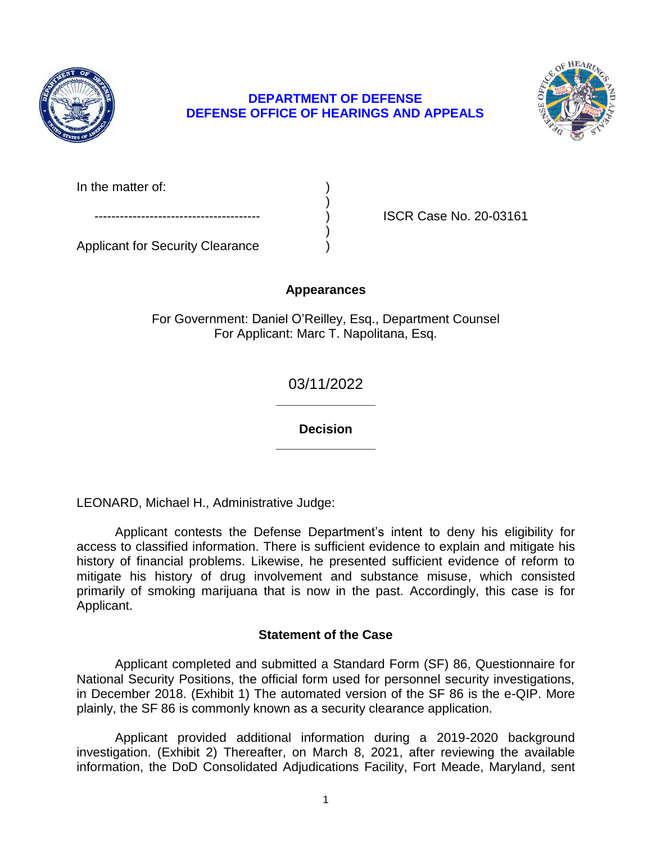

## **DEFENSE OFFICE OF HEARINGS AND APPEALS DEPARTMENT OF DEFENSE**



In the matter of:

ISCR Case No. 20-03161

Applicant for Security Clearance )

# **Appearances**

)

)

For Government: Daniel O'Reilley, Esq., Department Counsel For Applicant: Marc T. Napolitana, Esq.

> **\_\_\_\_\_\_\_\_\_\_\_\_\_\_**  03/11/2022

> **\_\_\_\_\_\_\_\_\_\_\_\_\_\_ Decision**

LEONARD, Michael H., Administrative Judge:

 Applicant contests the Defense Department's intent to deny his eligibility for access to classified information. There is sufficient evidence to explain and mitigate his history of financial problems. Likewise, he presented sufficient evidence of reform to mitigate his history of drug involvement and substance misuse, which consisted primarily of smoking marijuana that is now in the past. Accordingly, this case is for Applicant.

## **Statement of the Case**

 Applicant completed and submitted a Standard Form (SF) 86, Questionnaire for National Security Positions, the official form used for personnel security investigations, in December 2018. (Exhibit 1) The automated version of the SF 86 is the e-QIP. More plainly, the SF 86 is commonly known as a security clearance application.

 Applicant provided additional information during a 2019-2020 background investigation. (Exhibit 2) Thereafter, on March 8, 2021, after reviewing the available information, the DoD Consolidated Adjudications Facility, Fort Meade, Maryland, sent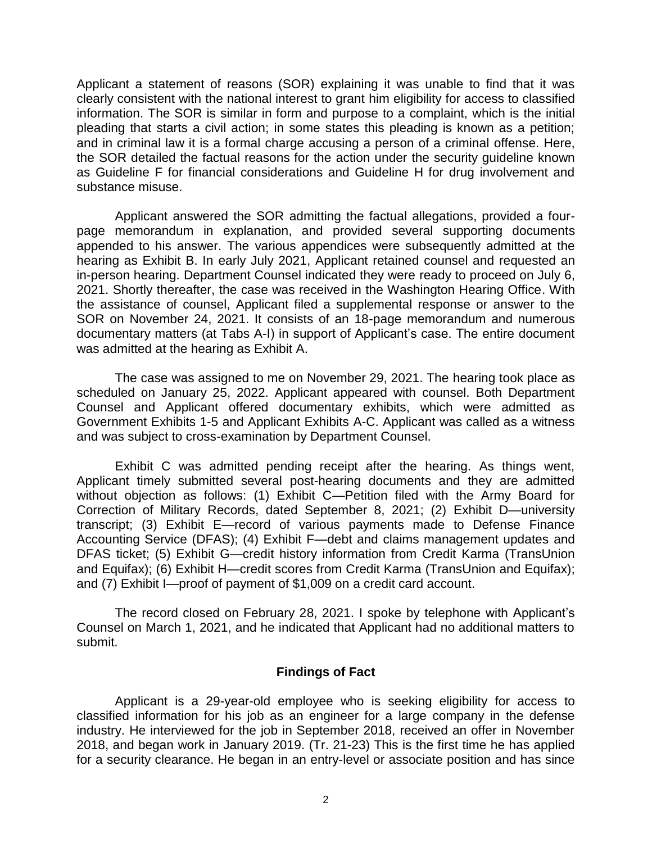Applicant a statement of reasons (SOR) explaining it was unable to find that it was clearly consistent with the national interest to grant him eligibility for access to classified information. The SOR is similar in form and purpose to a complaint, which is the initial pleading that starts a civil action; in some states this pleading is known as a petition; and in criminal law it is a formal charge accusing a person of a criminal offense. Here, the SOR detailed the factual reasons for the action under the security guideline known as Guideline F for financial considerations and Guideline H for drug involvement and substance misuse.

 Applicant answered the SOR admitting the factual allegations, provided a four- page memorandum in explanation, and provided several supporting documents appended to his answer. The various appendices were subsequently admitted at the hearing as Exhibit B. In early July 2021, Applicant retained counsel and requested an in-person hearing. Department Counsel indicated they were ready to proceed on July 6, 2021. Shortly thereafter, the case was received in the Washington Hearing Office. With the assistance of counsel, Applicant filed a supplemental response or answer to the SOR on November 24, 2021. It consists of an 18-page memorandum and numerous documentary matters (at Tabs A-I) in support of Applicant's case. The entire document was admitted at the hearing as Exhibit A.

 The case was assigned to me on November 29, 2021. The hearing took place as scheduled on January 25, 2022. Applicant appeared with counsel. Both Department Counsel and Applicant offered documentary exhibits, which were admitted as Government Exhibits 1-5 and Applicant Exhibits A-C. Applicant was called as a witness and was subject to cross-examination by Department Counsel.

 Exhibit C was admitted pending receipt after the hearing. As things went, Applicant timely submitted several post-hearing documents and they are admitted without objection as follows: (1) Exhibit C—Petition filed with the Army Board for Correction of Military Records, dated September 8, 2021; (2) Exhibit D—university transcript; (3) Exhibit E—record of various payments made to Defense Finance DFAS ticket; (5) Exhibit G—credit history information from Credit Karma (TransUnion and Equifax); (6) Exhibit H—credit scores from Credit Karma (TransUnion and Equifax); and (7) Exhibit I—proof of payment of \$1,009 on a credit card account. Accounting Service (DFAS); (4) Exhibit F—debt and claims management updates and

 The record closed on February 28, 2021. I spoke by telephone with Applicant's Counsel on March 1, 2021, and he indicated that Applicant had no additional matters to submit.

## **Findings of Fact**

 Applicant is a 29-year-old employee who is seeking eligibility for access to classified information for his job as an engineer for a large company in the defense industry. He interviewed for the job in September 2018, received an offer in November 2018, and began work in January 2019. (Tr. 21-23) This is the first time he has applied for a security clearance. He began in an entry-level or associate position and has since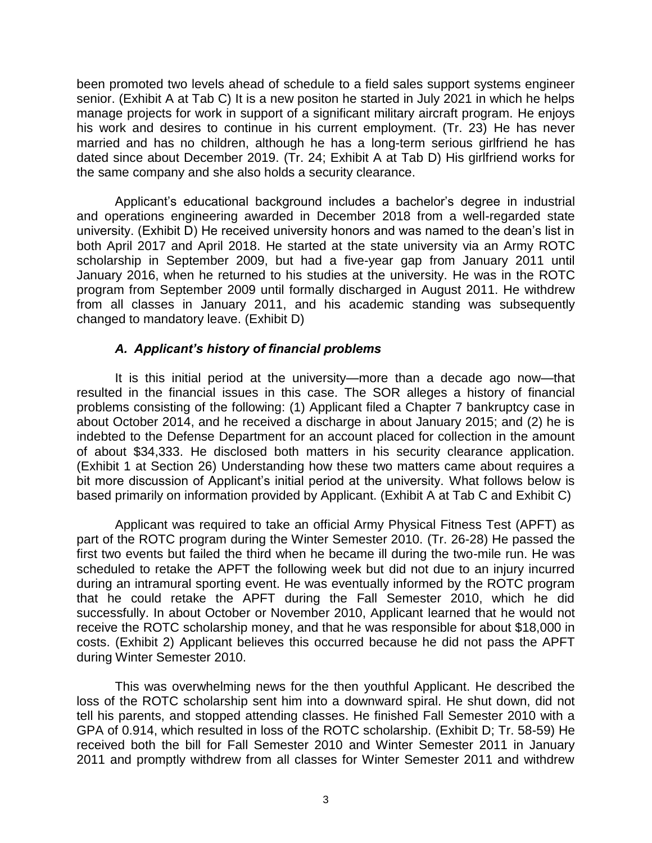been promoted two levels ahead of schedule to a field sales support systems engineer senior. (Exhibit A at Tab C) It is a new positon he started in July 2021 in which he helps manage projects for work in support of a significant military aircraft program. He enjoys his work and desires to continue in his current employment. (Tr. 23) He has never married and has no children, although he has a long-term serious girlfriend he has dated since about December 2019. (Tr. 24; Exhibit A at Tab D) His girlfriend works for the same company and she also holds a security clearance.

 Applicant's educational background includes a bachelor's degree in industrial and operations engineering awarded in December 2018 from a well-regarded state university. (Exhibit D) He received university honors and was named to the dean's list in both April 2017 and April 2018. He started at the state university via an Army ROTC scholarship in September 2009, but had a five-year gap from January 2011 until January 2016, when he returned to his studies at the university. He was in the ROTC program from September 2009 until formally discharged in August 2011. He withdrew from all classes in January 2011, and his academic standing was subsequently changed to mandatory leave. (Exhibit D)

## *A. Applicant's history of financial problems*

 It is this initial period at the university—more than a decade ago now—that resulted in the financial issues in this case. The SOR alleges a history of financial problems consisting of the following: (1) Applicant filed a Chapter 7 bankruptcy case in about October 2014, and he received a discharge in about January 2015; and (2) he is indebted to the Defense Department for an account placed for collection in the amount of about \$34,333. He disclosed both matters in his security clearance application. (Exhibit 1 at Section 26) Understanding how these two matters came about requires a bit more discussion of Applicant's initial period at the university. What follows below is based primarily on information provided by Applicant. (Exhibit A at Tab C and Exhibit C)

 Applicant was required to take an official Army Physical Fitness Test (APFT) as part of the ROTC program during the Winter Semester 2010. (Tr. 26-28) He passed the first two events but failed the third when he became ill during the two-mile run. He was scheduled to retake the APFT the following week but did not due to an injury incurred during an intramural sporting event. He was eventually informed by the ROTC program that he could retake the APFT during the Fall Semester 2010, which he did successfully. In about October or November 2010, Applicant learned that he would not receive the ROTC scholarship money, and that he was responsible for about \$18,000 in costs. (Exhibit 2) Applicant believes this occurred because he did not pass the APFT during Winter Semester 2010.

 This was overwhelming news for the then youthful Applicant. He described the loss of the ROTC scholarship sent him into a downward spiral. He shut down, did not tell his parents, and stopped attending classes. He finished Fall Semester 2010 with a GPA of 0.914, which resulted in loss of the ROTC scholarship. (Exhibit D; Tr. 58-59) He received both the bill for Fall Semester 2010 and Winter Semester 2011 in January 2011 and promptly withdrew from all classes for Winter Semester 2011 and withdrew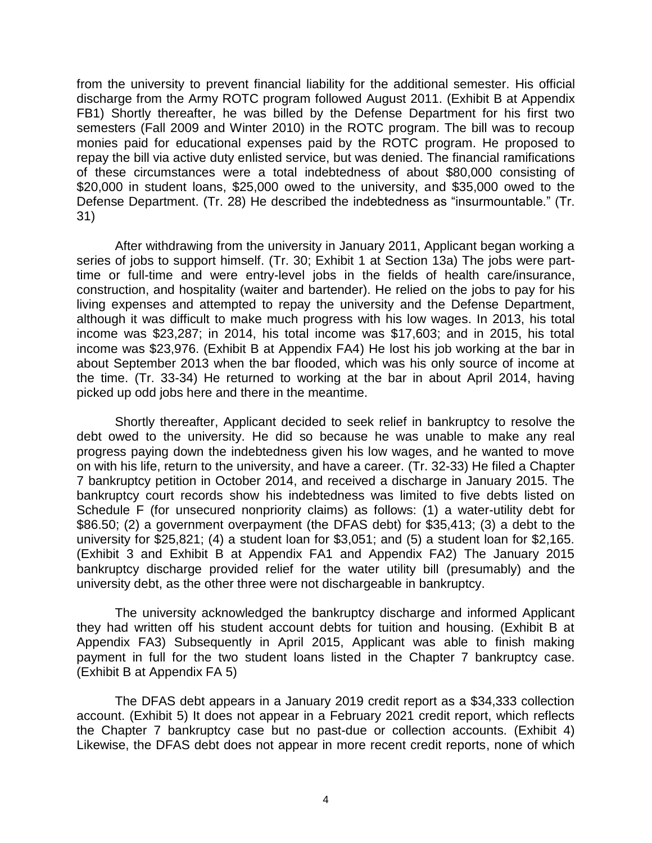from the university to prevent financial liability for the additional semester. His official discharge from the Army ROTC program followed August 2011. (Exhibit B at Appendix FB1) Shortly thereafter, he was billed by the Defense Department for his first two semesters (Fall 2009 and Winter 2010) in the ROTC program. The bill was to recoup monies paid for educational expenses paid by the ROTC program. He proposed to repay the bill via active duty enlisted service, but was denied. The financial ramifications of these circumstances were a total indebtedness of about \$80,000 consisting of \$20,000 in student loans, \$25,000 owed to the university, and \$35,000 owed to the Defense Department. (Tr. 28) He described the indebtedness as "insurmountable." (Tr. 31)

 After withdrawing from the university in January 2011, Applicant began working a series of jobs to support himself. (Tr. 30; Exhibit 1 at Section 13a) The jobs were part- time or full-time and were entry-level jobs in the fields of health care/insurance, construction, and hospitality (waiter and bartender). He relied on the jobs to pay for his living expenses and attempted to repay the university and the Defense Department, although it was difficult to make much progress with his low wages. In 2013, his total income was \$23,287; in 2014, his total income was \$17,603; and in 2015, his total income was \$23,976. (Exhibit B at Appendix FA4) He lost his job working at the bar in about September 2013 when the bar flooded, which was his only source of income at the time. (Tr. 33-34) He returned to working at the bar in about April 2014, having picked up odd jobs here and there in the meantime.

 Shortly thereafter, Applicant decided to seek relief in bankruptcy to resolve the debt owed to the university. He did so because he was unable to make any real progress paying down the indebtedness given his low wages, and he wanted to move 7 bankruptcy petition in October 2014, and received a discharge in January 2015. The bankruptcy court records show his indebtedness was limited to five debts listed on Schedule F (for unsecured nonpriority claims) as follows: (1) a water-utility debt for \$86.50; (2) a government overpayment (the DFAS debt) for \$35,413; (3) a debt to the university for \$25,821; (4) a student loan for \$3,051; and (5) a student loan for \$2,165. (Exhibit 3 and Exhibit B at Appendix FA1 and Appendix FA2) The January 2015 bankruptcy discharge provided relief for the water utility bill (presumably) and the on with his life, return to the university, and have a career. (Tr. 32-33) He filed a Chapter university debt, as the other three were not dischargeable in bankruptcy.

 The university acknowledged the bankruptcy discharge and informed Applicant they had written off his student account debts for tuition and housing. (Exhibit B at Appendix FA3) Subsequently in April 2015, Applicant was able to finish making payment in full for the two student loans listed in the Chapter 7 bankruptcy case. (Exhibit B at Appendix FA 5)

 The DFAS debt appears in a January 2019 credit report as a \$34,333 collection account. (Exhibit 5) It does not appear in a February 2021 credit report, which reflects the Chapter 7 bankruptcy case but no past-due or collection accounts. (Exhibit 4) Likewise, the DFAS debt does not appear in more recent credit reports, none of which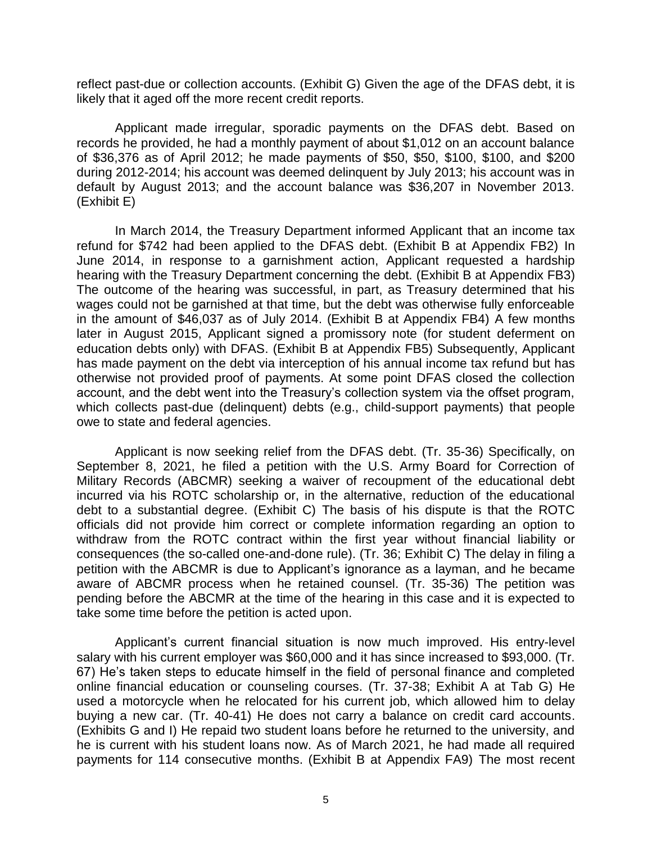reflect past-due or collection accounts. (Exhibit G) Given the age of the DFAS debt, it is likely that it aged off the more recent credit reports.

 Applicant made irregular, sporadic payments on the DFAS debt. Based on records he provided, he had a monthly payment of about \$1,012 on an account balance of \$36,376 as of April 2012; he made payments of \$50, \$50, \$100, \$100, and \$200 during 2012-2014; his account was deemed delinquent by July 2013; his account was in default by August 2013; and the account balance was \$36,207 in November 2013. (Exhibit E)

 In March 2014, the Treasury Department informed Applicant that an income tax refund for \$742 had been applied to the DFAS debt. (Exhibit B at Appendix FB2) In June 2014, in response to a garnishment action, Applicant requested a hardship hearing with the Treasury Department concerning the debt. (Exhibit B at Appendix FB3) The outcome of the hearing was successful, in part, as Treasury determined that his wages could not be garnished at that time, but the debt was otherwise fully enforceable in the amount of \$46,037 as of July 2014. (Exhibit B at Appendix FB4) A few months later in August 2015, Applicant signed a promissory note (for student deferment on has made payment on the debt via interception of his annual income tax refund but has otherwise not provided proof of payments. At some point DFAS closed the collection account, and the debt went into the Treasury's collection system via the offset program, education debts only) with DFAS. (Exhibit B at Appendix FB5) Subsequently, Applicant which collects past-due (delinquent) debts (e.g., child-support payments) that people owe to state and federal agencies.

 Applicant is now seeking relief from the DFAS debt. (Tr. 35-36) Specifically, on September 8, 2021, he filed a petition with the U.S. Army Board for Correction of Military Records (ABCMR) seeking a waiver of recoupment of the educational debt incurred via his ROTC scholarship or, in the alternative, reduction of the educational debt to a substantial degree. (Exhibit C) The basis of his dispute is that the ROTC officials did not provide him correct or complete information regarding an option to withdraw from the ROTC contract within the first year without financial liability or consequences (the so-called one-and-done rule). (Tr. 36; Exhibit C) The delay in filing a petition with the ABCMR is due to Applicant's ignorance as a layman, and he became aware of ABCMR process when he retained counsel. (Tr. 35-36) The petition was pending before the ABCMR at the time of the hearing in this case and it is expected to take some time before the petition is acted upon.

Applicant's current financial situation is now much improved. His entry-level salary with his current employer was \$60,000 and it has since increased to \$93,000. (Tr. 67) He's taken steps to educate himself in the field of personal finance and completed online financial education or counseling courses. (Tr. 37-38; Exhibit A at Tab G) He used a motorcycle when he relocated for his current job, which allowed him to delay buying a new car. (Tr. 40-41) He does not carry a balance on credit card accounts. (Exhibits G and I) He repaid two student loans before he returned to the university, and he is current with his student loans now. As of March 2021, he had made all required payments for 114 consecutive months. (Exhibit B at Appendix FA9) The most recent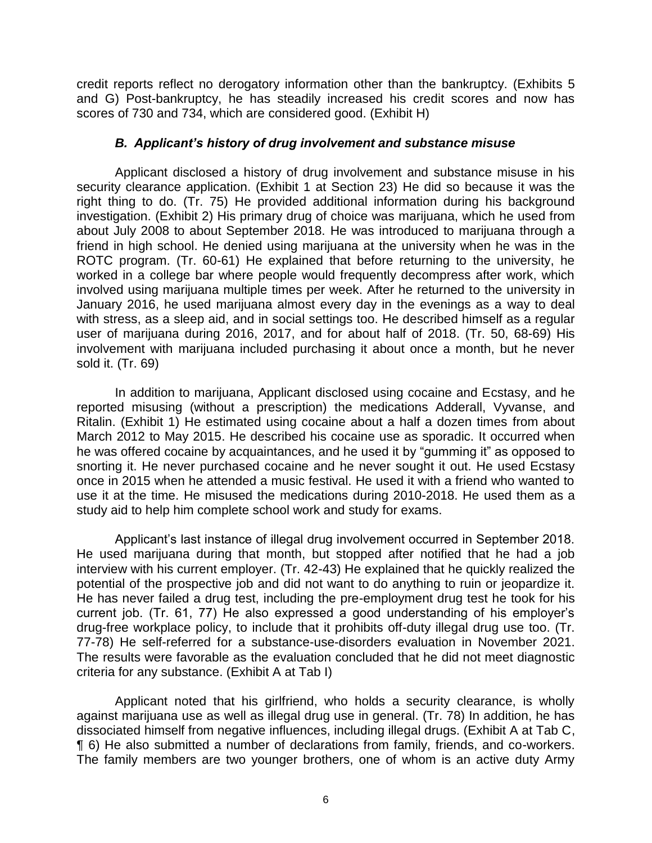credit reports reflect no derogatory information other than the bankruptcy. (Exhibits 5 and G) Post-bankruptcy, he has steadily increased his credit scores and now has scores of 730 and 734, which are considered good. (Exhibit H)

#### *B. Applicant's history of drug involvement and substance misuse*

 Applicant disclosed a history of drug involvement and substance misuse in his security clearance application. (Exhibit 1 at Section 23) He did so because it was the right thing to do. (Tr. 75) He provided additional information during his background investigation. (Exhibit 2) His primary drug of choice was marijuana, which he used from about July 2008 to about September 2018. He was introduced to marijuana through a friend in high school. He denied using marijuana at the university when he was in the ROTC program. (Tr. 60-61) He explained that before returning to the university, he worked in a college bar where people would frequently decompress after work, which involved using marijuana multiple times per week. After he returned to the university in January 2016, he used marijuana almost every day in the evenings as a way to deal with stress, as a sleep aid, and in social settings too. He described himself as a regular user of marijuana during 2016, 2017, and for about half of 2018. (Tr. 50, 68-69) His involvement with marijuana included purchasing it about once a month, but he never sold it. (Tr. 69)

 In addition to marijuana, Applicant disclosed using cocaine and Ecstasy, and he Ritalin. (Exhibit 1) He estimated using cocaine about a half a dozen times from about March 2012 to May 2015. He described his cocaine use as sporadic. It occurred when he was offered cocaine by acquaintances, and he used it by "gumming it" as opposed to snorting it. He never purchased cocaine and he never sought it out. He used Ecstasy once in 2015 when he attended a music festival. He used it with a friend who wanted to use it at the time. He misused the medications during 2010-2018. He used them as a reported misusing (without a prescription) the medications Adderall, Vyvanse, and study aid to help him complete school work and study for exams.

 Applicant's last instance of illegal drug involvement occurred in September 2018. He used marijuana during that month, but stopped after notified that he had a job interview with his current employer. (Tr. 42-43) He explained that he quickly realized the potential of the prospective job and did not want to do anything to ruin or jeopardize it. He has never failed a drug test, including the pre-employment drug test he took for his current job. (Tr. 61, 77) He also expressed a good understanding of his employer's drug-free workplace policy, to include that it prohibits off-duty illegal drug use too. (Tr. The results were favorable as the evaluation concluded that he did not meet diagnostic 77-78) He self-referred for a substance-use-disorders evaluation in November 2021. criteria for any substance. (Exhibit A at Tab I)

 Applicant noted that his girlfriend, who holds a security clearance, is wholly against marijuana use as well as illegal drug use in general. (Tr. 78) In addition, he has dissociated himself from negative influences, including illegal drugs. (Exhibit A at Tab C, ¶ 6) He also submitted a number of declarations from family, friends, and co-workers. The family members are two younger brothers, one of whom is an active duty Army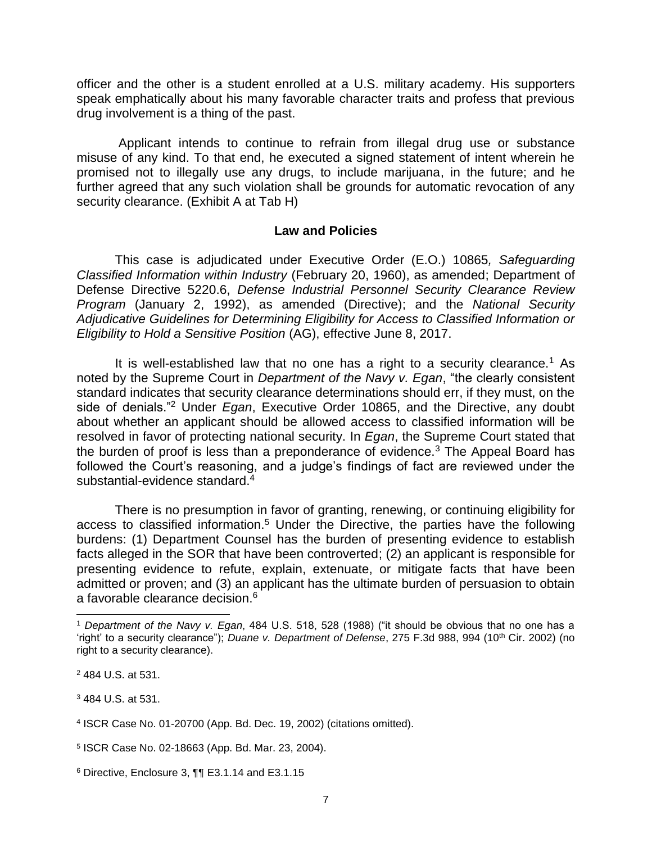officer and the other is a student enrolled at a U.S. military academy. His supporters speak emphatically about his many favorable character traits and profess that previous drug involvement is a thing of the past.

 Applicant intends to continue to refrain from illegal drug use or substance misuse of any kind. To that end, he executed a signed statement of intent wherein he promised not to illegally use any drugs, to include marijuana, in the future; and he further agreed that any such violation shall be grounds for automatic revocation of any security clearance. (Exhibit A at Tab H)

#### **Law and Policies**

 Defense Directive 5220.6, *Defense Industrial Personnel Security Clearance Review Adjudicative Guidelines for Determining Eligibility for Access to Classified Information or*  This case is adjudicated under Executive Order (E.O.) 10865*, Safeguarding Classified Information within Industry* (February 20, 1960), as amended; Department of *Program* (January 2, 1992), as amended (Directive); and the *National Security Eligibility to Hold a Sensitive Position* (AG), effective June 8, 2017.

It is well-established law that no one has a right to a security clearance.<sup>1</sup> As noted by the Supreme Court in *Department of the Navy v. Egan*, "the clearly consistent standard indicates that security clearance determinations should err, if they must, on the side of denials."2 Under *Egan*, Executive Order 10865, and the Directive, any doubt about whether an applicant should be allowed access to classified information will be resolved in favor of protecting national security. In *Egan*, the Supreme Court stated that the burden of proof is less than a preponderance of evidence.<sup>3</sup> The Appeal Board has followed the Court's reasoning, and a judge's findings of fact are reviewed under the substantial-evidence standard.<sup>4</sup>

 There is no presumption in favor of granting, renewing, or continuing eligibility for access to classified information.<sup>5</sup> Under the Directive, the parties have the following burdens: (1) Department Counsel has the burden of presenting evidence to establish facts alleged in the SOR that have been controverted; (2) an applicant is responsible for presenting evidence to refute, explain, extenuate, or mitigate facts that have been admitted or proven; and (3) an applicant has the ultimate burden of persuasion to obtain a favorable clearance decision.<sup>6</sup>

 $\overline{a}$ 

3 484 U.S. at 531.

<sup>1</sup>*Department of the Navy v. Egan*, 484 U.S. 518, 528 (1988) ("it should be obvious that no one has a 'right' to a security clearance"); *Duane v. Department of Defense*, 275 F.3d 988, 994 (10<sup>th</sup> Cir. 2002) (no right to a security clearance).

<sup>2 484</sup> U.S. at 531.

<sup>4</sup> ISCR Case No. 01-20700 (App. Bd. Dec. 19, 2002) (citations omitted).

<sup>5</sup> ISCR Case No. 02-18663 (App. Bd. Mar. 23, 2004).

 $6$  Directive, Enclosure 3,  $\P$  $\P$  E3.1.14 and E3.1.15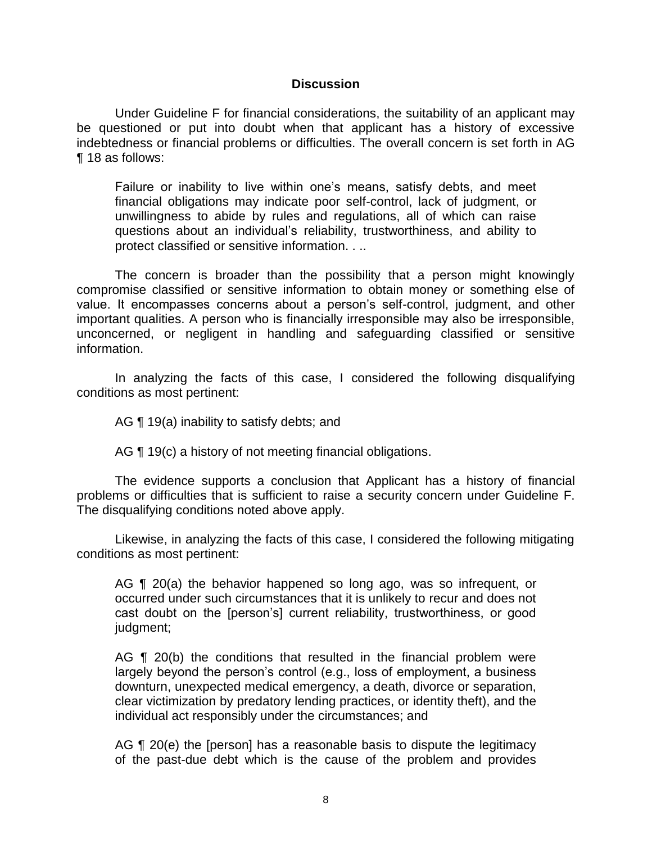#### **Discussion**

 Under Guideline F for financial considerations, the suitability of an applicant may be questioned or put into doubt when that applicant has a history of excessive indebtedness or financial problems or difficulties. The overall concern is set forth in AG ¶ 18 as follows:

Failure or inability to live within one's means, satisfy debts, and meet financial obligations may indicate poor self-control, lack of judgment, or unwillingness to abide by rules and regulations, all of which can raise questions about an individual's reliability, trustworthiness, and ability to protect classified or sensitive information. . ..

 The concern is broader than the possibility that a person might knowingly compromise classified or sensitive information to obtain money or something else of value. It encompasses concerns about a person's self-control, judgment, and other important qualities. A person who is financially irresponsible may also be irresponsible, unconcerned, or negligent in handling and safeguarding classified or sensitive information.

 In analyzing the facts of this case, I considered the following disqualifying conditions as most pertinent:

AG **[19(a)** inability to satisfy debts; and

AG ¶ 19(c) a history of not meeting financial obligations.

 The evidence supports a conclusion that Applicant has a history of financial problems or difficulties that is sufficient to raise a security concern under Guideline F. The disqualifying conditions noted above apply.

 Likewise, in analyzing the facts of this case, I considered the following mitigating conditions as most pertinent:

AG ¶ 20(a) the behavior happened so long ago, was so infrequent, or occurred under such circumstances that it is unlikely to recur and does not cast doubt on the [person's] current reliability, trustworthiness, or good judgment;

AG ¶ 20(b) the conditions that resulted in the financial problem were largely beyond the person's control (e.g., loss of employment, a business clear victimization by predatory lending practices, or identity theft), and the downturn, unexpected medical emergency, a death, divorce or separation, individual act responsibly under the circumstances; and

AG ¶ 20(e) the [person] has a reasonable basis to dispute the legitimacy of the past-due debt which is the cause of the problem and provides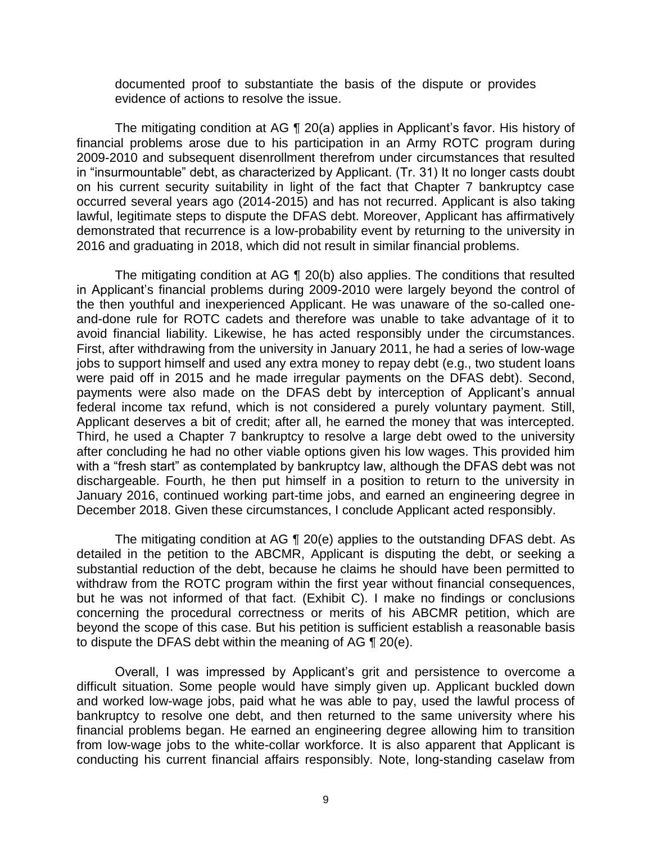documented proof to substantiate the basis of the dispute or provides evidence of actions to resolve the issue.

 The mitigating condition at AG ¶ 20(a) applies in Applicant's favor. His history of financial problems arose due to his participation in an Army ROTC program during in "insurmountable" debt, as characterized by Applicant. (Tr. 31) It no longer casts doubt on his current security suitability in light of the fact that Chapter 7 bankruptcy case lawful, legitimate steps to dispute the DFAS debt. Moreover, Applicant has affirmatively demonstrated that recurrence is a low-probability event by returning to the university in 2009-2010 and subsequent disenrollment therefrom under circumstances that resulted occurred several years ago (2014-2015) and has not recurred. Applicant is also taking 2016 and graduating in 2018, which did not result in similar financial problems.

 The mitigating condition at AG ¶ 20(b) also applies. The conditions that resulted in Applicant's financial problems during 2009-2010 were largely beyond the control of the then youthful and inexperienced Applicant. He was unaware of the so-called one- and-done rule for ROTC cadets and therefore was unable to take advantage of it to avoid financial liability. Likewise, he has acted responsibly under the circumstances. First, after withdrawing from the university in January 2011, he had a series of low-wage jobs to support himself and used any extra money to repay debt (e.g., two student loans were paid off in 2015 and he made irregular payments on the DFAS debt). Second, payments were also made on the DFAS debt by interception of Applicant's annual federal income tax refund, which is not considered a purely voluntary payment. Still, Applicant deserves a bit of credit; after all, he earned the money that was intercepted. Third, he used a Chapter 7 bankruptcy to resolve a large debt owed to the university after concluding he had no other viable options given his low wages. This provided him with a "fresh start" as contemplated by bankruptcy law, although the DFAS debt was not dischargeable. Fourth, he then put himself in a position to return to the university in January 2016, continued working part-time jobs, and earned an engineering degree in December 2018. Given these circumstances, I conclude Applicant acted responsibly.

 The mitigating condition at AG ¶ 20(e) applies to the outstanding DFAS debt. As detailed in the petition to the ABCMR, Applicant is disputing the debt, or seeking a substantial reduction of the debt, because he claims he should have been permitted to withdraw from the ROTC program within the first year without financial consequences, but he was not informed of that fact. (Exhibit C). I make no findings or conclusions concerning the procedural correctness or merits of his ABCMR petition, which are beyond the scope of this case. But his petition is sufficient establish a reasonable basis to dispute the DFAS debt within the meaning of AG ¶ 20(e).

 Overall, I was impressed by Applicant's grit and persistence to overcome a difficult situation. Some people would have simply given up. Applicant buckled down and worked low-wage jobs, paid what he was able to pay, used the lawful process of bankruptcy to resolve one debt, and then returned to the same university where his financial problems began. He earned an engineering degree allowing him to transition from low-wage jobs to the white-collar workforce. It is also apparent that Applicant is conducting his current financial affairs responsibly. Note, long-standing caselaw from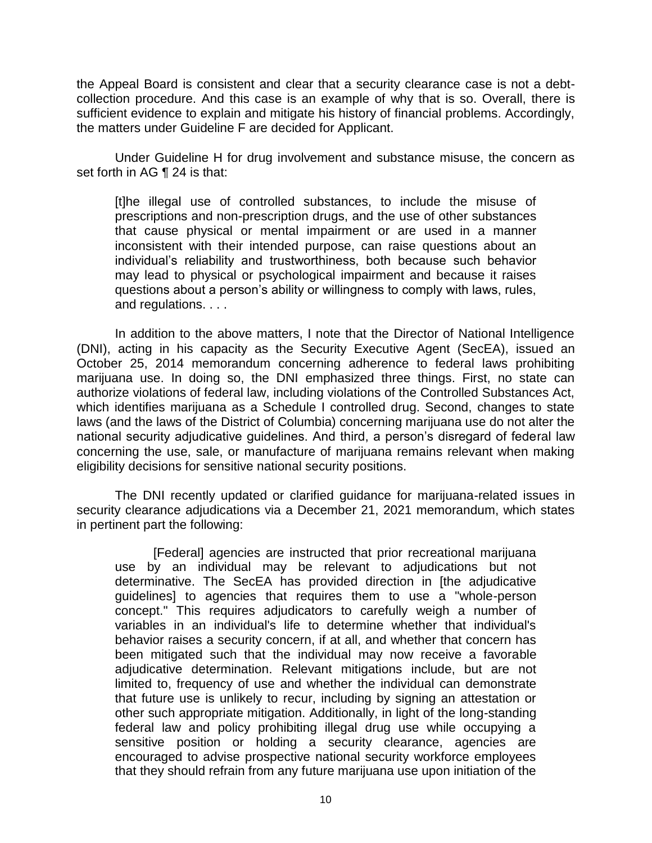the Appeal Board is consistent and clear that a security clearance case is not a debt- collection procedure. And this case is an example of why that is so. Overall, there is sufficient evidence to explain and mitigate his history of financial problems. Accordingly, the matters under Guideline F are decided for Applicant.

 Under Guideline H for drug involvement and substance misuse, the concern as set forth in AG ¶ 24 is that:

[t]he illegal use of controlled substances, to include the misuse of prescriptions and non-prescription drugs, and the use of other substances that cause physical or mental impairment or are used in a manner inconsistent with their intended purpose, can raise questions about an individual's reliability and trustworthiness, both because such behavior may lead to physical or psychological impairment and because it raises questions about a person's ability or willingness to comply with laws, rules, and regulations. . . .

 In addition to the above matters, I note that the Director of National Intelligence (DNI), acting in his capacity as the Security Executive Agent (SecEA), issued an October 25, 2014 memorandum concerning adherence to federal laws prohibiting marijuana use. In doing so, the DNI emphasized three things. First, no state can authorize violations of federal law, including violations of the Controlled Substances Act, which identifies marijuana as a Schedule I controlled drug. Second, changes to state national security adjudicative guidelines. And third, a person's disregard of federal law concerning the use, sale, or manufacture of marijuana remains relevant when making laws (and the laws of the District of Columbia) concerning marijuana use do not alter the eligibility decisions for sensitive national security positions.

 The DNI recently updated or clarified guidance for marijuana-related issues in security clearance adjudications via a December 21, 2021 memorandum, which states in pertinent part the following:

[Federal] agencies are instructed that prior recreational marijuana use by an individual may be relevant to adjudications but not determinative. The SecEA has provided direction in [the adjudicative guidelines] to agencies that requires them to use a "whole-person concept." This requires adjudicators to carefully weigh a number of variables in an individual's life to determine whether that individual's behavior raises a security concern, if at all, and whether that concern has been mitigated such that the individual may now receive a favorable adjudicative determination. Relevant mitigations include, but are not limited to, frequency of use and whether the individual can demonstrate that future use is unlikely to recur, including by signing an attestation or other such appropriate mitigation. Additionally, in light of the long-standing federal law and policy prohibiting illegal drug use while occupying a sensitive position or holding a security clearance, agencies are encouraged to advise prospective national security workforce employees that they should refrain from any future marijuana use upon initiation of the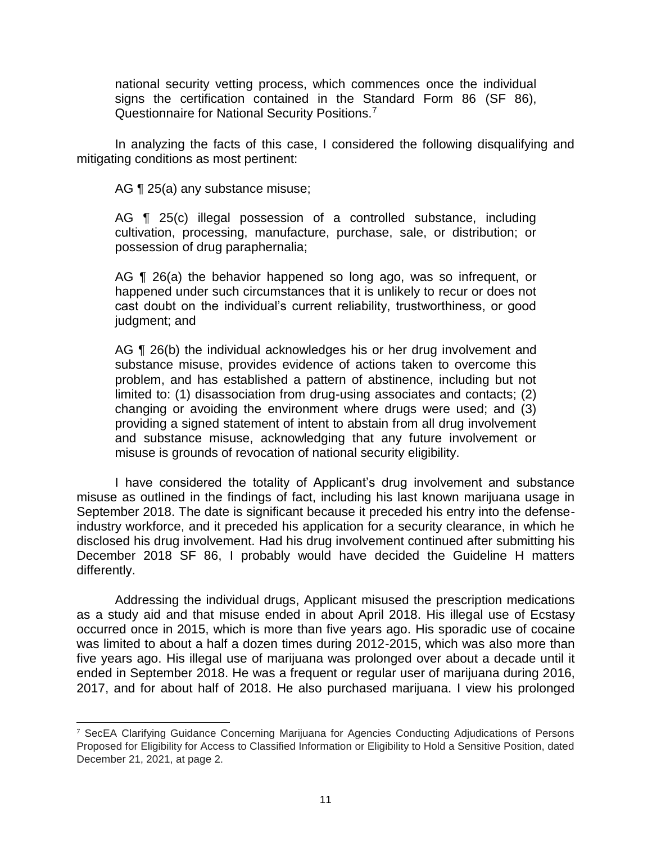national security vetting process, which commences once the individual signs the certification contained in the Standard Form 86 (SF 86), Questionnaire for National Security Positions.7

 In analyzing the facts of this case, I considered the following disqualifying and mitigating conditions as most pertinent:

AG ¶ 25(a) any substance misuse;

 AG ¶ 25(c) illegal possession of a controlled substance, including cultivation, processing, manufacture, purchase, sale, or distribution; or possession of drug paraphernalia;

AG ¶ 26(a) the behavior happened so long ago, was so infrequent, or happened under such circumstances that it is unlikely to recur or does not cast doubt on the individual's current reliability, trustworthiness, or good judgment; and

 substance misuse, provides evidence of actions taken to overcome this problem, and has established a pattern of abstinence, including but not limited to: (1) disassociation from drug-using associates and contacts; (2) changing or avoiding the environment where drugs were used; and (3) providing a signed statement of intent to abstain from all drug involvement and substance misuse, acknowledging that any future involvement or AG ¶ 26(b) the individual acknowledges his or her drug involvement and misuse is grounds of revocation of national security eligibility.

 I have considered the totality of Applicant's drug involvement and substance misuse as outlined in the findings of fact, including his last known marijuana usage in September 2018. The date is significant because it preceded his entry into the defense- industry workforce, and it preceded his application for a security clearance, in which he disclosed his drug involvement. Had his drug involvement continued after submitting his December 2018 SF 86, I probably would have decided the Guideline H matters differently.

 Addressing the individual drugs, Applicant misused the prescription medications as a study aid and that misuse ended in about April 2018. His illegal use of Ecstasy occurred once in 2015, which is more than five years ago. His sporadic use of cocaine was limited to about a half a dozen times during 2012-2015, which was also more than five years ago. His illegal use of marijuana was prolonged over about a decade until it ended in September 2018. He was a frequent or regular user of marijuana during 2016, 2017, and for about half of 2018. He also purchased marijuana. I view his prolonged

 $\overline{a}$  $7$  SecEA Clarifying Guidance Concerning Marijuana for Agencies Conducting Adjudications of Persons Proposed for Eligibility for Access to Classified Information or Eligibility to Hold a Sensitive Position, dated December 21, 2021, at page 2.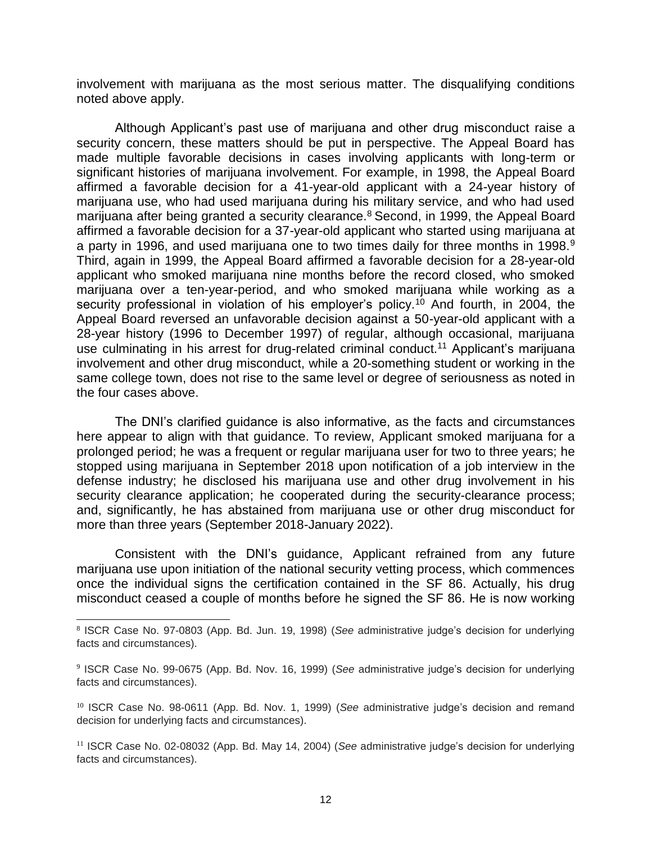involvement with marijuana as the most serious matter. The disqualifying conditions noted above apply.

Although Applicant's past use of marijuana and other drug misconduct raise a security concern, these matters should be put in perspective. The Appeal Board has made multiple favorable decisions in cases involving applicants with long-term or significant histories of marijuana involvement. For example, in 1998, the Appeal Board affirmed a favorable decision for a 41-year-old applicant with a 24-year history of marijuana use, who had used marijuana during his military service, and who had used marijuana after being granted a security clearance.<sup>8</sup> Second, in 1999, the Appeal Board affirmed a favorable decision for a 37-year-old applicant who started using marijuana at a party in 1996, and used marijuana one to two times daily for three months in 1998.<sup>9</sup> Third, again in 1999, the Appeal Board affirmed a favorable decision for a 28-year-old applicant who smoked marijuana nine months before the record closed, who smoked marijuana over a ten-year-period, and who smoked marijuana while working as a security professional in violation of his employer's policy.<sup>10</sup> And fourth, in 2004, the Appeal Board reversed an unfavorable decision against a 50-year-old applicant with a 28-year history (1996 to December 1997) of regular, although occasional, marijuana use culminating in his arrest for drug-related criminal conduct.<sup>11</sup> Applicant's marijuana involvement and other drug misconduct, while a 20-something student or working in the same college town, does not rise to the same level or degree of seriousness as noted in the four cases above.

 The DNI's clarified guidance is also informative, as the facts and circumstances here appear to align with that guidance. To review, Applicant smoked marijuana for a prolonged period; he was a frequent or regular marijuana user for two to three years; he stopped using marijuana in September 2018 upon notification of a job interview in the defense industry; he disclosed his marijuana use and other drug involvement in his security clearance application; he cooperated during the security-clearance process; and, significantly, he has abstained from marijuana use or other drug misconduct for more than three years (September 2018-January 2022).

 Consistent with the DNI's guidance, Applicant refrained from any future marijuana use upon initiation of the national security vetting process, which commences once the individual signs the certification contained in the SF 86. Actually, his drug misconduct ceased a couple of months before he signed the SF 86. He is now working

l

 <sup>8</sup>ISCR Case No. 97-0803 (App. Bd. Jun. 19, 1998) (*See* administrative judge's decision for underlying facts and circumstances).

<sup>9</sup>ISCR Case No. 99-0675 (App. Bd. Nov. 16, 1999) (*See* administrative judge's decision for underlying facts and circumstances).

<sup>&</sup>lt;sup>10</sup> ISCR Case No. 98-0611 (App. Bd. Nov. 1, 1999) (*See* administrative judge's decision and remand decision for underlying facts and circumstances).

<sup>11</sup>ISCR Case No. 02-08032 (App. Bd. May 14, 2004) (*See* administrative judge's decision for underlying facts and circumstances).